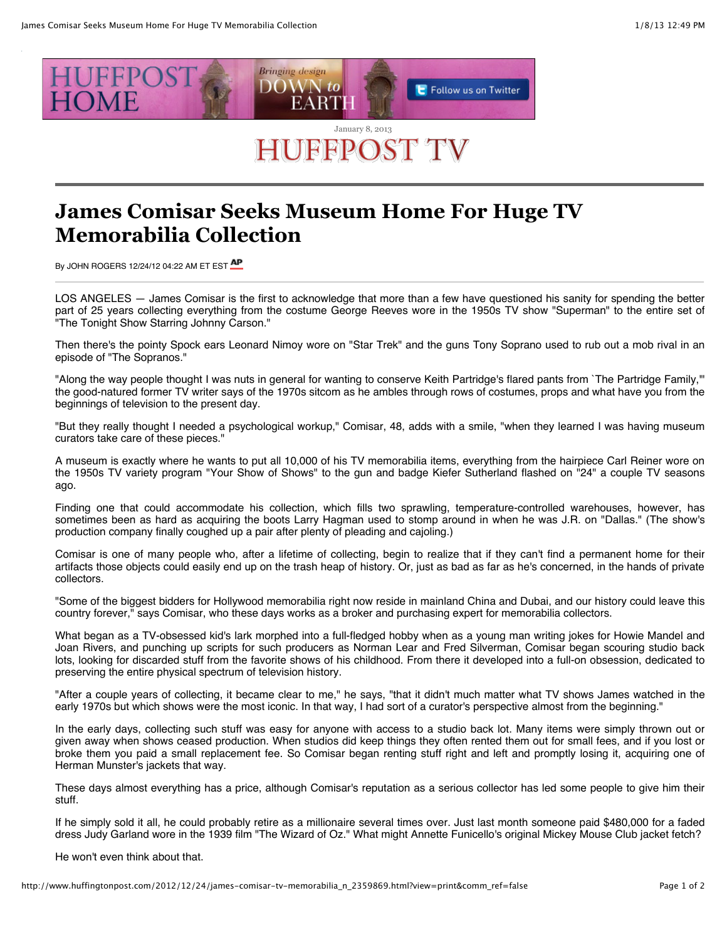

## **James Comisar Seeks Museum Home For Huge TV Memorabilia Collection**

By JOHN ROGERS 12/24/12 04:22 AM ET EST AP

LOS ANGELES — James Comisar is the first to acknowledge that more than a few have questioned his sanity for spending the better part of 25 years collecting everything from the costume George Reeves wore in the 1950s TV show "Superman" to the entire set of "The Tonight Show Starring Johnny Carson."

Then there's the pointy Spock ears Leonard Nimoy wore on "Star Trek" and the guns Tony Soprano used to rub out a mob rival in an episode of "The Sopranos."

"Along the way people thought I was nuts in general for wanting to conserve Keith Partridge's flared pants from `The Partridge Family,'" the good-natured former TV writer says of the 1970s sitcom as he ambles through rows of costumes, props and what have you from the beginnings of television to the present day.

"But they really thought I needed a psychological workup," Comisar, 48, adds with a smile, "when they learned I was having museum curators take care of these pieces."

A museum is exactly where he wants to put all 10,000 of his TV memorabilia items, everything from the hairpiece Carl Reiner wore on the 1950s TV variety program "Your Show of Shows" to the gun and badge Kiefer Sutherland flashed on "24" a couple TV seasons ago.

Finding one that could accommodate his collection, which fills two sprawling, temperature-controlled warehouses, however, has sometimes been as hard as acquiring the boots Larry Hagman used to stomp around in when he was J.R. on "Dallas." (The show's production company finally coughed up a pair after plenty of pleading and cajoling.)

Comisar is one of many people who, after a lifetime of collecting, begin to realize that if they can't find a permanent home for their artifacts those objects could easily end up on the trash heap of history. Or, just as bad as far as he's concerned, in the hands of private collectors.

"Some of the biggest bidders for Hollywood memorabilia right now reside in mainland China and Dubai, and our history could leave this country forever," says Comisar, who these days works as a broker and purchasing expert for memorabilia collectors.

What began as a TV-obsessed kid's lark morphed into a full-fledged hobby when as a young man writing jokes for Howie Mandel and Joan Rivers, and punching up scripts for such producers as Norman Lear and Fred Silverman, Comisar began scouring studio back lots, looking for discarded stuff from the favorite shows of his childhood. From there it developed into a full-on obsession, dedicated to preserving the entire physical spectrum of television history.

"After a couple years of collecting, it became clear to me," he says, "that it didn't much matter what TV shows James watched in the early 1970s but which shows were the most iconic. In that way, I had sort of a curator's perspective almost from the beginning."

In the early days, collecting such stuff was easy for anyone with access to a studio back lot. Many items were simply thrown out or given away when shows ceased production. When studios did keep things they often rented them out for small fees, and if you lost or broke them you paid a small replacement fee. So Comisar began renting stuff right and left and promptly losing it, acquiring one of Herman Munster's jackets that way.

These days almost everything has a price, although Comisar's reputation as a serious collector has led some people to give him their stuff.

If he simply sold it all, he could probably retire as a millionaire several times over. Just last month someone paid \$480,000 for a faded dress Judy Garland wore in the 1939 film "The Wizard of Oz." What might Annette Funicello's original Mickey Mouse Club jacket fetch?

He won't even think about that.